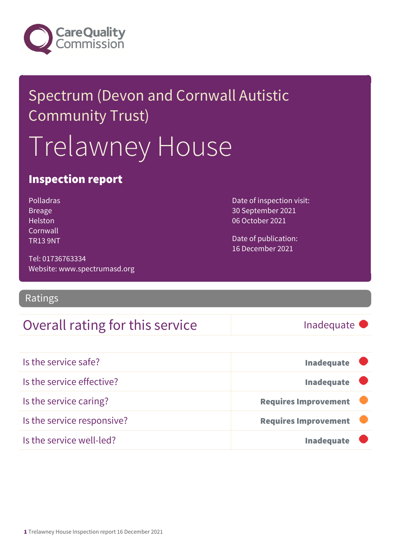

# Spectrum (Devon and Cornwall Autistic Community Trust) Trelawney House

### Inspection report

| Polladras       |  |  |
|-----------------|--|--|
| Breage          |  |  |
| Helston         |  |  |
| Cornwall        |  |  |
| <b>TR13 9NT</b> |  |  |

Tel: 01736763334 Website: www.spectrumasd.org Date of inspection visit: 30 September 2021 06 October 2021

Date of publication: 16 December 2021

#### Ratings

### Overall rating for this service Inadequate

| Is the service safe?       | <b>Inadequate</b>           |
|----------------------------|-----------------------------|
| Is the service effective?  | <b>Inadequate</b>           |
| Is the service caring?     | <b>Requires Improvement</b> |
| Is the service responsive? | <b>Requires Improvement</b> |
| Is the service well-led?   | <b>Inadequate</b>           |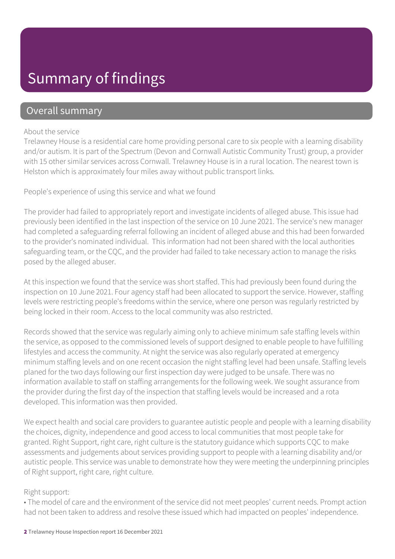## Summary of findings

### Overall summary

#### About the service

Trelawney House is a residential care home providing personal care to six people with a learning disability and/or autism. It is part of the Spectrum (Devon and Cornwall Autistic Community Trust) group, a provider with 15 other similar services across Cornwall. Trelawney House is in a rural location. The nearest town is Helston which is approximately four miles away without public transport links.

People's experience of using this service and what we found

The provider had failed to appropriately report and investigate incidents of alleged abuse. This issue had previously been identified in the last inspection of the service on 10 June 2021. The service's new manager had completed a safeguarding referral following an incident of alleged abuse and this had been forwarded to the provider's nominated individual. This information had not been shared with the local authorities safeguarding team, or the CQC, and the provider had failed to take necessary action to manage the risks posed by the alleged abuser.

At this inspection we found that the service was short staffed. This had previously been found during the inspection on 10 June 2021. Four agency staff had been allocated to support the service. However, staffing levels were restricting people's freedoms within the service, where one person was regularly restricted by being locked in their room. Access to the local community was also restricted.

Records showed that the service was regularly aiming only to achieve minimum safe staffing levels within the service, as opposed to the commissioned levels of support designed to enable people to have fulfilling lifestyles and access the community. At night the service was also regularly operated at emergency minimum staffing levels and on one recent occasion the night staffing level had been unsafe. Staffing levels planed for the two days following our first inspection day were judged to be unsafe. There was no information available to staff on staffing arrangements for the following week. We sought assurance from the provider during the first day of the inspection that staffing levels would be increased and a rota developed. This information was then provided.

We expect health and social care providers to guarantee autistic people and people with a learning disability the choices, dignity, independence and good access to local communities that most people take for granted. Right Support, right care, right culture is the statutory guidance which supports CQC to make assessments and judgements about services providing support to people with a learning disability and/or autistic people. This service was unable to demonstrate how they were meeting the underpinning principles of Right support, right care, right culture.

#### Right support:

• The model of care and the environment of the service did not meet peoples' current needs. Prompt action had not been taken to address and resolve these issued which had impacted on peoples' independence.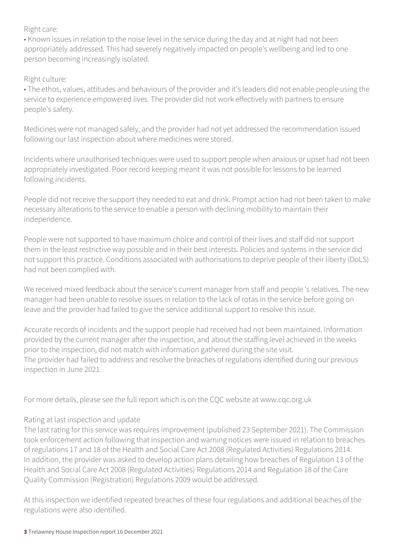#### Right care:

• Known issues in relation to the noise level in the service during the day and at night had not been appropriately addressed. This had severely negatively impacted on people's wellbeing and led to one person becoming increasingly isolated.

#### Right culture:

• The ethos, values, attitudes and behaviours of the provider and it's leaders did not enable people using the service to experience empowered lives. The provider did not work effectively with partners to ensure people's safety.

Medicines were not managed safely, and the provider had not yet addressed the recommendation issued following our last inspection about where medicines were stored.

Incidents where unauthorised techniques were used to support people when anxious or upset had not been appropriately investigated. Poor record keeping meant it was not possible for lessons to be learned following incidents.

People did not receive the support they needed to eat and drink. Prompt action had not been taken to make necessary alterations to the service to enable a person with declining mobility to maintain their independence.

People were not supported to have maximum choice and control of their lives and staff did not support them in the least restrictive way possible and in their best interests. Policies and systems in the service did not support this practice. Conditions associated with authorisations to deprive people of their liberty (DoLS) had not been complied with.

We received mixed feedback about the service's current manager from staff and people 's relatives. The new manager had been unable to resolve issues in relation to the lack of rotas in the service before going on leave and the provider had failed to give the service additional support to resolve this issue.

Accurate records of incidents and the support people had received had not been maintained. Information provided by the current manager after the inspection, and about the staffing level achieved in the weeks prior to the inspection, did not match with information gathered during the site visit. The provider had failed to address and resolve the breaches of regulations identified during our previous inspection in June 2021.

For more details, please see the full report which is on the CQC website at www.cqc.org.uk

#### Rating at last inspection and update

The last rating for this service was requires improvement (published 23 September 2021). The Commission took enforcement action following that inspection and warning notices were issued in relation to breaches of regulations 17 and 18 of the Health and Social Care Act 2008 (Regulated Activities) Regulations 2014. In addition, the provider was asked to develop action plans detailing how breaches of Regulation 13 of the Health and Social Care Act 2008 (Regulated Activities) Regulations 2014 and Regulation 18 of the Care Quality Commission (Registration) Regulations 2009 would be addressed.

At this inspection we identified repeated breaches of these four regulations and additional beaches of the regulations were also identified.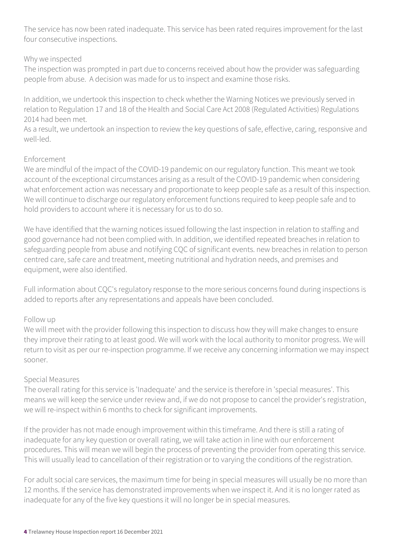The service has now been rated inadequate. This service has been rated requires improvement for the last four consecutive inspections.

#### Why we inspected

The inspection was prompted in part due to concerns received about how the provider was safeguarding people from abuse. A decision was made for us to inspect and examine those risks.

In addition, we undertook this inspection to check whether the Warning Notices we previously served in relation to Regulation 17 and 18 of the Health and Social Care Act 2008 (Regulated Activities) Regulations 2014 had been met.

As a result, we undertook an inspection to review the key questions of safe, effective, caring, responsive and well-led.

#### Enforcement

We are mindful of the impact of the COVID-19 pandemic on our regulatory function. This meant we took account of the exceptional circumstances arising as a result of the COVID-19 pandemic when considering what enforcement action was necessary and proportionate to keep people safe as a result of this inspection. We will continue to discharge our regulatory enforcement functions required to keep people safe and to hold providers to account where it is necessary for us to do so.

We have identified that the warning notices issued following the last inspection in relation to staffing and good governance had not been complied with. In addition, we identified repeated breaches in relation to safeguarding people from abuse and notifying CQC of significant events. new breaches in relation to person centred care, safe care and treatment, meeting nutritional and hydration needs, and premises and equipment, were also identified.

Full information about CQC's regulatory response to the more serious concerns found during inspections is added to reports after any representations and appeals have been concluded.

#### Follow up

We will meet with the provider following this inspection to discuss how they will make changes to ensure they improve their rating to at least good. We will work with the local authority to monitor progress. We will return to visit as per our re-inspection programme. If we receive any concerning information we may inspect sooner.

#### Special Measures

The overall rating for this service is 'Inadequate' and the service is therefore in 'special measures'. This means we will keep the service under review and, if we do not propose to cancel the provider's registration, we will re-inspect within 6 months to check for significant improvements.

If the provider has not made enough improvement within this timeframe. And there is still a rating of inadequate for any key question or overall rating, we will take action in line with our enforcement procedures. This will mean we will begin the process of preventing the provider from operating this service. This will usually lead to cancellation of their registration or to varying the conditions of the registration.

For adult social care services, the maximum time for being in special measures will usually be no more than 12 months. If the service has demonstrated improvements when we inspect it. And it is no longer rated as inadequate for any of the five key questions it will no longer be in special measures.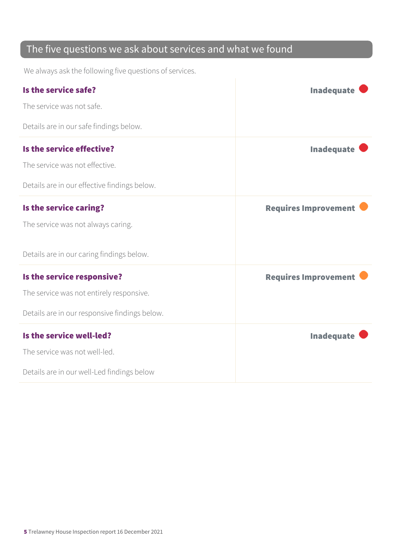### The five questions we ask about services and what we found

We always ask the following five questions of services.

| Is the service safe?                          | <b>Inadequate</b>           |
|-----------------------------------------------|-----------------------------|
| The service was not safe.                     |                             |
| Details are in our safe findings below.       |                             |
| Is the service effective?                     | <b>Inadequate</b>           |
| The service was not effective.                |                             |
| Details are in our effective findings below.  |                             |
| Is the service caring?                        | <b>Requires Improvement</b> |
| The service was not always caring.            |                             |
| Details are in our caring findings below.     |                             |
| Is the service responsive?                    | <b>Requires Improvement</b> |
| The service was not entirely responsive.      |                             |
| Details are in our responsive findings below. |                             |
| Is the service well-led?                      | <b>Inadequate</b>           |
| The service was not well-led.                 |                             |
| Details are in our well-Led findings below    |                             |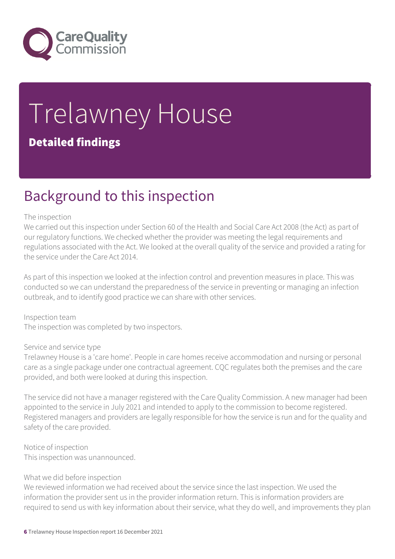

# Trelawney House Detailed findings

### Background to this inspection

#### The inspection

We carried out this inspection under Section 60 of the Health and Social Care Act 2008 (the Act) as part of our regulatory functions. We checked whether the provider was meeting the legal requirements and regulations associated with the Act. We looked at the overall quality of the service and provided a rating for the service under the Care Act 2014.

As part of this inspection we looked at the infection control and prevention measures in place. This was conducted so we can understand the preparedness of the service in preventing or managing an infection outbreak, and to identify good practice we can share with other services.

Inspection team The inspection was completed by two inspectors.

#### Service and service type

Trelawney House is a 'care home'. People in care homes receive accommodation and nursing or personal care as a single package under one contractual agreement. CQC regulates both the premises and the care provided, and both were looked at during this inspection.

The service did not have a manager registered with the Care Quality Commission. A new manager had been appointed to the service in July 2021 and intended to apply to the commission to become registered. Registered managers and providers are legally responsible for how the service is run and for the quality and safety of the care provided.

Notice of inspection This inspection was unannounced.

#### What we did before inspection

We reviewed information we had received about the service since the last inspection. We used the information the provider sent us in the provider information return. This is information providers are required to send us with key information about their service, what they do well, and improvements they plan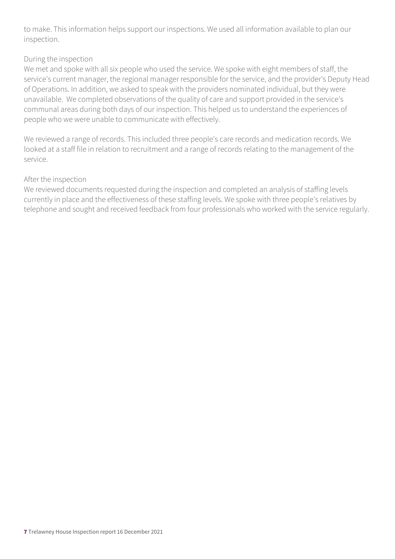to make. This information helps support our inspections. We used all information available to plan our inspection.

#### During the inspection

We met and spoke with all six people who used the service. We spoke with eight members of staff, the service's current manager, the regional manager responsible for the service, and the provider's Deputy Head of Operations. In addition, we asked to speak with the providers nominated individual, but they were unavailable. We completed observations of the quality of care and support provided in the service's communal areas during both days of our inspection. This helped us to understand the experiences of people who we were unable to communicate with effectively.

We reviewed a range of records. This included three people's care records and medication records. We looked at a staff file in relation to recruitment and a range of records relating to the management of the service.

#### After the inspection

We reviewed documents requested during the inspection and completed an analysis of staffing levels currently in place and the effectiveness of these staffing levels. We spoke with three people's relatives by telephone and sought and received feedback from four professionals who worked with the service regularly.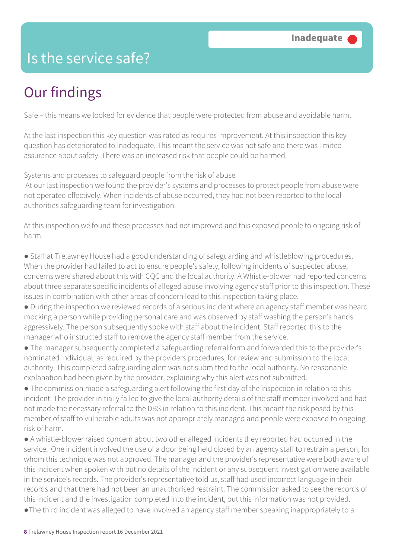### Is the service safe?

## Our findings

Safe – this means we looked for evidence that people were protected from abuse and avoidable harm.

At the last inspection this key question was rated as requires improvement. At this inspection this key question has deteriorated to inadequate. This meant the service was not safe and there was limited assurance about safety. There was an increased risk that people could be harmed.

Systems and processes to safeguard people from the risk of abuse

 At our last inspection we found the provider's systems and processes to protect people from abuse were not operated effectively. When incidents of abuse occurred, they had not been reported to the local authorities safeguarding team for investigation.

At this inspection we found these processes had not improved and this exposed people to ongoing risk of harm.

● Staff at Trelawney House had a good understanding of safeguarding and whistleblowing procedures. When the provider had failed to act to ensure people's safety, following incidents of suspected abuse, concerns were shared about this with CQC and the local authority. A Whistle-blower had reported concerns about three separate specific incidents of alleged abuse involving agency staff prior to this inspection. These issues in combination with other areas of concern lead to this inspection taking place.

● During the inspection we reviewed records of a serious incident where an agency staff member was heard mocking a person while providing personal care and was observed by staff washing the person's hands aggressively. The person subsequently spoke with staff about the incident. Staff reported this to the manager who instructed staff to remove the agency staff member from the service.

● The manager subsequently completed a safeguarding referral form and forwarded this to the provider's nominated individual, as required by the providers procedures, for review and submission to the local authority. This completed safeguarding alert was not submitted to the local authority. No reasonable explanation had been given by the provider, explaining why this alert was not submitted.

• The commission made a safeguarding alert following the first day of the inspection in relation to this incident. The provider initially failed to give the local authority details of the staff member involved and had not made the necessary referral to the DBS in relation to this incident. This meant the risk posed by this member of staff to vulnerable adults was not appropriately managed and people were exposed to ongoing risk of harm.

● A whistle-blower raised concern about two other alleged incidents they reported had occurred in the service. One incident involved the use of a door being held closed by an agency staff to restrain a person, for whom this technique was not approved. The manager and the provider's representative were both aware of this incident when spoken with but no details of the incident or any subsequent investigation were available in the service's records. The provider's representative told us, staff had used incorrect language in their records and that there had not been an unauthorised restraint. The commission asked to see the records of this incident and the investigation completed into the incident, but this information was not provided.

●The third incident was alleged to have involved an agency staff member speaking inappropriately to a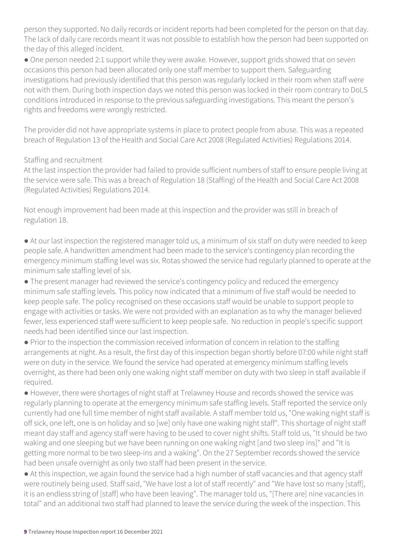person they supported. No daily records or incident reports had been completed for the person on that day. The lack of daily care records meant it was not possible to establish how the person had been supported on the day of this alleged incident.

● One person needed 2:1 support while they were awake. However, support grids showed that on seven occasions this person had been allocated only one staff member to support them. Safeguarding investigations had previously identified that this person was regularly locked in their room when staff were not with them. During both inspection days we noted this person was locked in their room contrary to DoLS conditions introduced in response to the previous safeguarding investigations. This meant the person's rights and freedoms were wrongly restricted.

The provider did not have appropriate systems in place to protect people from abuse. This was a repeated breach of Regulation 13 of the Health and Social Care Act 2008 (Regulated Activities) Regulations 2014.

#### Staffing and recruitment

At the last inspection the provider had failed to provide sufficient numbers of staff to ensure people living at the service were safe. This was a breach of Regulation 18 (Staffing) of the Health and Social Care Act 2008 (Regulated Activities) Regulations 2014.

Not enough improvement had been made at this inspection and the provider was still in breach of regulation 18.

● At our last inspection the registered manager told us, a minimum of six staff on duty were needed to keep people safe. A handwritten amendment had been made to the service's contingency plan recording the emergency minimum staffing level was six. Rotas showed the service had regularly planned to operate at the minimum safe staffing level of six.

• The present manager had reviewed the service's contingency policy and reduced the emergency minimum safe staffing levels. This policy now indicated that a minimum of five staff would be needed to keep people safe. The policy recognised on these occasions staff would be unable to support people to engage with activities or tasks. We were not provided with an explanation as to why the manager believed fewer, less experienced staff were sufficient to keep people safe. No reduction in people's specific support needs had been identified since our last inspection.

● Prior to the inspection the commission received information of concern in relation to the staffing arrangements at night. As a result, the first day of this inspection began shortly before 07:00 while night staff were on duty in the service. We found the service had operated at emergency minimum staffing levels overnight, as there had been only one waking night staff member on duty with two sleep in staff available if required.

● However, there were shortages of night staff at Trelawney House and records showed the service was regularly planning to operate at the emergency minimum safe staffing levels. Staff reported the service only currently had one full time member of night staff available. A staff member told us, "One waking night staff is off sick, one left, one is on holiday and so [we] only have one waking night staff". This shortage of night staff meant day staff and agency staff were having to be used to cover night shifts. Staff told us, "It should be two waking and one sleeping but we have been running on one waking night [and two sleep ins]" and "It is getting more normal to be two sleep-ins and a waking". On the 27 September records showed the service had been unsafe overnight as only two staff had been present in the service.

● At this inspection, we again found the service had a high number of staff vacancies and that agency staff were routinely being used. Staff said, "We have lost a lot of staff recently" and "We have lost so many [staff], it is an endless string of [staff] who have been leaving". The manager told us, "[There are] nine vacancies in total" and an additional two staff had planned to leave the service during the week of the inspection. This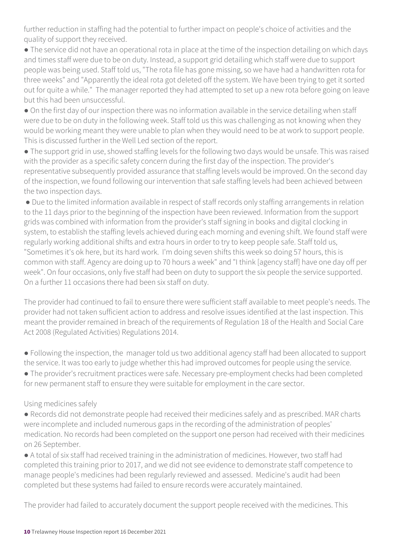further reduction in staffing had the potential to further impact on people's choice of activities and the quality of support they received.

● The service did not have an operational rota in place at the time of the inspection detailing on which days and times staff were due to be on duty. Instead, a support grid detailing which staff were due to support people was being used. Staff told us, "The rota file has gone missing, so we have had a handwritten rota for three weeks" and "Apparently the ideal rota got deleted off the system. We have been trying to get it sorted out for quite a while." The manager reported they had attempted to set up a new rota before going on leave but this had been unsuccessful.

● On the first day of our inspection there was no information available in the service detailing when staff were due to be on duty in the following week. Staff told us this was challenging as not knowing when they would be working meant they were unable to plan when they would need to be at work to support people. This is discussed further in the Well Led section of the report.

● The support grid in use, showed staffing levels for the following two days would be unsafe. This was raised with the provider as a specific safety concern during the first day of the inspection. The provider's representative subsequently provided assurance that staffing levels would be improved. On the second day of the inspection, we found following our intervention that safe staffing levels had been achieved between the two inspection days.

● Due to the limited information available in respect of staff records only staffing arrangements in relation to the 11 days prior to the beginning of the inspection have been reviewed. Information from the support grids was combined with information from the provider's staff signing in books and digital clocking in system, to establish the staffing levels achieved during each morning and evening shift. We found staff were regularly working additional shifts and extra hours in order to try to keep people safe. Staff told us, "Sometimes it's ok here, but its hard work. I'm doing seven shifts this week so doing 57 hours, this is common with staff. Agency are doing up to 70 hours a week" and "I think [agency staff] have one day off per week". On four occasions, only five staff had been on duty to support the six people the service supported. On a further 11 occasions there had been six staff on duty.

The provider had continued to fail to ensure there were sufficient staff available to meet people's needs. The provider had not taken sufficient action to address and resolve issues identified at the last inspection. This meant the provider remained in breach of the requirements of Regulation 18 of the Health and Social Care Act 2008 (Regulated Activities) Regulations 2014.

● Following the inspection, the manager told us two additional agency staff had been allocated to support the service. It was too early to judge whether this had improved outcomes for people using the service. ● The provider's recruitment practices were safe. Necessary pre-employment checks had been completed for new permanent staff to ensure they were suitable for employment in the care sector.

#### Using medicines safely

● Records did not demonstrate people had received their medicines safely and as prescribed. MAR charts were incomplete and included numerous gaps in the recording of the administration of peoples' medication. No records had been completed on the support one person had received with their medicines on 26 September.

● A total of six staff had received training in the administration of medicines. However, two staff had completed this training prior to 2017, and we did not see evidence to demonstrate staff competence to manage people's medicines had been regularly reviewed and assessed. Medicine's audit had been completed but these systems had failed to ensure records were accurately maintained.

The provider had failed to accurately document the support people received with the medicines. This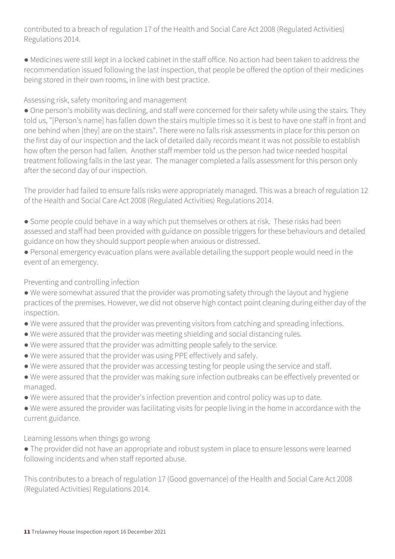contributed to a breach of regulation 17 of the Health and Social Care Act 2008 (Regulated Activities) Regulations 2014.

● Medicines were still kept in a locked cabinet in the staff office. No action had been taken to address the recommendation issued following the last inspection, that people be offered the option of their medicines being stored in their own rooms, in line with best practice.

Assessing risk, safety monitoring and management

• One person's mobility was declining, and staff were concerned for their safety while using the stairs. They told us, "[Person's name] has fallen down the stairs multiple times so it is best to have one staff in front and one behind when [they] are on the stairs". There were no falls risk assessments in place for this person on the first day of our inspection and the lack of detailed daily records meant it was not possible to establish how often the person had fallen. Another staff member told us the person had twice needed hospital treatment following falls in the last year. The manager completed a falls assessment for this person only after the second day of our inspection.

The provider had failed to ensure falls risks were appropriately managed. This was a breach of regulation 12 of the Health and Social Care Act 2008 (Regulated Activities) Regulations 2014.

• Some people could behave in a way which put themselves or others at risk. These risks had been assessed and staff had been provided with guidance on possible triggers for these behaviours and detailed guidance on how they should support people when anxious or distressed.

● Personal emergency evacuation plans were available detailing the support people would need in the event of an emergency.

Preventing and controlling infection

● We were somewhat assured that the provider was promoting safety through the layout and hygiene practices of the premises. However, we did not observe high contact point cleaning during either day of the inspection.

- We were assured that the provider was preventing visitors from catching and spreading infections.
- We were assured that the provider was meeting shielding and social distancing rules.
- We were assured that the provider was admitting people safely to the service.
- We were assured that the provider was using PPE effectively and safely.
- We were assured that the provider was accessing testing for people using the service and staff.
- We were assured that the provider was making sure infection outbreaks can be effectively prevented or managed.
- We were assured that the provider's infection prevention and control policy was up to date.

● We were assured the provider was facilitating visits for people living in the home in accordance with the current guidance.

Learning lessons when things go wrong

● The provider did not have an appropriate and robust system in place to ensure lessons were learned following incidents and when staff reported abuse.

This contributes to a breach of regulation 17 (Good governance) of the Health and Social Care Act 2008 (Regulated Activities) Regulations 2014.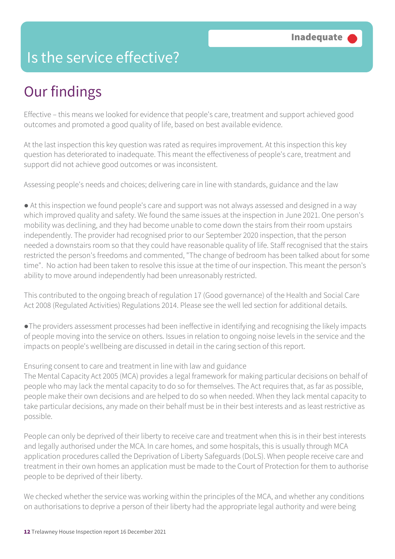### Is the service effective?

## Our findings

Effective – this means we looked for evidence that people's care, treatment and support achieved good outcomes and promoted a good quality of life, based on best available evidence.

At the last inspection this key question was rated as requires improvement. At this inspection this key question has deteriorated to inadequate. This meant the effectiveness of people's care, treatment and support did not achieve good outcomes or was inconsistent.

Assessing people's needs and choices; delivering care in line with standards, guidance and the law

• At this inspection we found people's care and support was not always assessed and designed in a way which improved quality and safety. We found the same issues at the inspection in June 2021. One person's mobility was declining, and they had become unable to come down the stairs from their room upstairs independently. The provider had recognised prior to our September 2020 inspection, that the person needed a downstairs room so that they could have reasonable quality of life. Staff recognised that the stairs restricted the person's freedoms and commented, "The change of bedroom has been talked about for some time". No action had been taken to resolve this issue at the time of our inspection. This meant the person's ability to move around independently had been unreasonably restricted.

This contributed to the ongoing breach of regulation 17 (Good governance) of the Health and Social Care Act 2008 (Regulated Activities) Regulations 2014. Please see the well led section for additional details.

●The providers assessment processes had been ineffective in identifying and recognising the likely impacts of people moving into the service on others. Issues in relation to ongoing noise levels in the service and the impacts on people's wellbeing are discussed in detail in the caring section of this report.

#### Ensuring consent to care and treatment in line with law and guidance

The Mental Capacity Act 2005 (MCA) provides a legal framework for making particular decisions on behalf of people who may lack the mental capacity to do so for themselves. The Act requires that, as far as possible, people make their own decisions and are helped to do so when needed. When they lack mental capacity to take particular decisions, any made on their behalf must be in their best interests and as least restrictive as possible.

People can only be deprived of their liberty to receive care and treatment when this is in their best interests and legally authorised under the MCA. In care homes, and some hospitals, this is usually through MCA application procedures called the Deprivation of Liberty Safeguards (DoLS). When people receive care and treatment in their own homes an application must be made to the Court of Protection for them to authorise people to be deprived of their liberty.

We checked whether the service was working within the principles of the MCA, and whether any conditions on authorisations to deprive a person of their liberty had the appropriate legal authority and were being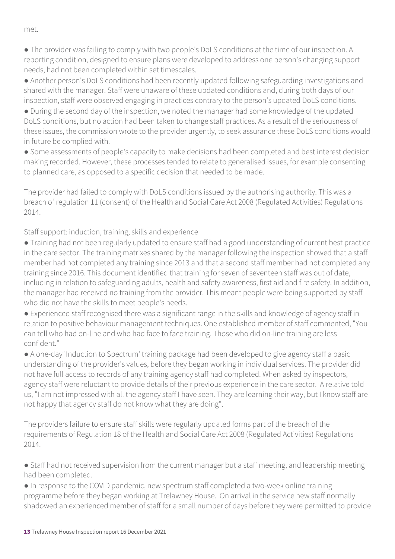met.

● The provider was failing to comply with two people's DoLS conditions at the time of our inspection. A reporting condition, designed to ensure plans were developed to address one person's changing support needs, had not been completed within set timescales.

● Another person's DoLS conditions had been recently updated following safeguarding investigations and shared with the manager. Staff were unaware of these updated conditions and, during both days of our inspection, staff were observed engaging in practices contrary to the person's updated DoLS conditions.

● During the second day of the inspection, we noted the manager had some knowledge of the updated DoLS conditions, but no action had been taken to change staff practices. As a result of the seriousness of these issues, the commission wrote to the provider urgently, to seek assurance these DoLS conditions would in future be complied with.

● Some assessments of people's capacity to make decisions had been completed and best interest decision making recorded. However, these processes tended to relate to generalised issues, for example consenting to planned care, as opposed to a specific decision that needed to be made.

The provider had failed to comply with DoLS conditions issued by the authorising authority. This was a breach of regulation 11 (consent) of the Health and Social Care Act 2008 (Regulated Activities) Regulations 2014.

Staff support: induction, training, skills and experience

● Training had not been regularly updated to ensure staff had a good understanding of current best practice in the care sector. The training matrixes shared by the manager following the inspection showed that a staff member had not completed any training since 2013 and that a second staff member had not completed any training since 2016. This document identified that training for seven of seventeen staff was out of date, including in relation to safeguarding adults, health and safety awareness, first aid and fire safety. In addition, the manager had received no training from the provider. This meant people were being supported by staff who did not have the skills to meet people's needs.

● Experienced staff recognised there was a significant range in the skills and knowledge of agency staff in relation to positive behaviour management techniques. One established member of staff commented, "You can tell who had on-line and who had face to face training. Those who did on-line training are less confident."

● A one-day 'Induction to Spectrum' training package had been developed to give agency staff a basic understanding of the provider's values, before they began working in individual services. The provider did not have full access to records of any training agency staff had completed. When asked by inspectors, agency staff were reluctant to provide details of their previous experience in the care sector. A relative told us, "I am not impressed with all the agency staff I have seen. They are learning their way, but I know staff are not happy that agency staff do not know what they are doing".

The providers failure to ensure staff skills were regularly updated forms part of the breach of the requirements of Regulation 18 of the Health and Social Care Act 2008 (Regulated Activities) Regulations 2014.

• Staff had not received supervision from the current manager but a staff meeting, and leadership meeting had been completed.

● In response to the COVID pandemic, new spectrum staff completed a two-week online training programme before they began working at Trelawney House. On arrival in the service new staff normally shadowed an experienced member of staff for a small number of days before they were permitted to provide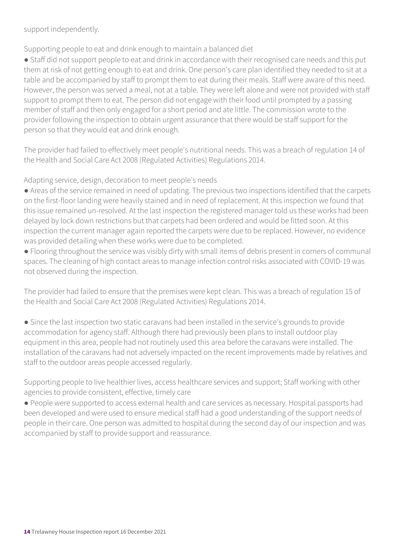support independently.

Supporting people to eat and drink enough to maintain a balanced diet

● Staff did not support people to eat and drink in accordance with their recognised care needs and this put them at risk of not getting enough to eat and drink. One person's care plan identified they needed to sit at a table and be accompanied by staff to prompt them to eat during their meals. Staff were aware of this need. However, the person was served a meal, not at a table. They were left alone and were not provided with staff support to prompt them to eat. The person did not engage with their food until prompted by a passing member of staff and then only engaged for a short period and ate little. The commission wrote to the provider following the inspection to obtain urgent assurance that there would be staff support for the person so that they would eat and drink enough.

The provider had failed to effectively meet people's nutritional needs. This was a breach of regulation 14 of the Health and Social Care Act 2008 (Regulated Activities) Regulations 2014.

Adapting service, design, decoration to meet people's needs

- Areas of the service remained in need of updating. The previous two inspections identified that the carpets on the first-floor landing were heavily stained and in need of replacement. At this inspection we found that this issue remained un-resolved. At the last inspection the registered manager told us these works had been delayed by lock down restrictions but that carpets had been ordered and would be fitted soon. At this inspection the current manager again reported the carpets were due to be replaced. However, no evidence was provided detailing when these works were due to be completed.
- Flooring throughout the service was visibly dirty with small items of debris present in corners of communal spaces. The cleaning of high contact areas to manage infection control risks associated with COVID-19 was not observed during the inspection.

The provider had failed to ensure that the premises were kept clean. This was a breach of regulation 15 of the Health and Social Care Act 2008 (Regulated Activities) Regulations 2014.

● Since the last inspection two static caravans had been installed in the service's grounds to provide accommodation for agency staff. Although there had previously been plans to install outdoor play equipment in this area, people had not routinely used this area before the caravans were installed. The installation of the caravans had not adversely impacted on the recent improvements made by relatives and staff to the outdoor areas people accessed regularly.

Supporting people to live healthier lives, access healthcare services and support; Staff working with other agencies to provide consistent, effective, timely care

● People were supported to access external health and care services as necessary. Hospital passports had been developed and were used to ensure medical staff had a good understanding of the support needs of people in their care. One person was admitted to hospital during the second day of our inspection and was accompanied by staff to provide support and reassurance.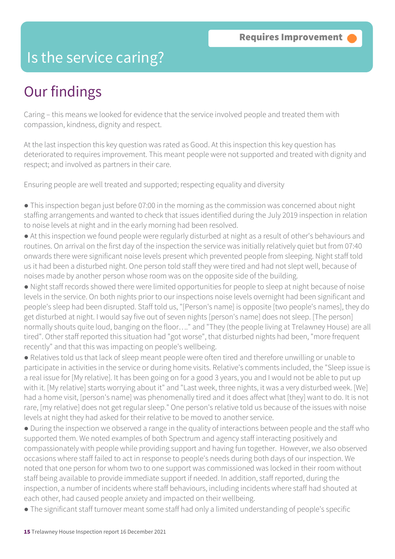### Is the service caring?

### Our findings

Caring – this means we looked for evidence that the service involved people and treated them with compassion, kindness, dignity and respect.

At the last inspection this key question was rated as Good. At this inspection this key question has deteriorated to requires improvement. This meant people were not supported and treated with dignity and respect; and involved as partners in their care.

Ensuring people are well treated and supported; respecting equality and diversity

● This inspection began just before 07:00 in the morning as the commission was concerned about night staffing arrangements and wanted to check that issues identified during the July 2019 inspection in relation to noise levels at night and in the early morning had been resolved.

- At this inspection we found people were regularly disturbed at night as a result of other's behaviours and routines. On arrival on the first day of the inspection the service was initially relatively quiet but from 07:40 onwards there were significant noise levels present which prevented people from sleeping. Night staff told us it had been a disturbed night. One person told staff they were tired and had not slept well, because of noises made by another person whose room was on the opposite side of the building.
- Night staff records showed there were limited opportunities for people to sleep at night because of noise levels in the service. On both nights prior to our inspections noise levels overnight had been significant and people's sleep had been disrupted. Staff told us, "[Person's name] is opposite [two people's names], they do get disturbed at night. I would say five out of seven nights [person's name] does not sleep. [The person] normally shouts quite loud, banging on the floor…." and "They (the people living at Trelawney House) are all tired". Other staff reported this situation had "got worse", that disturbed nights had been, "more frequent recently" and that this was impacting on people's wellbeing.
- Relatives told us that lack of sleep meant people were often tired and therefore unwilling or unable to participate in activities in the service or during home visits. Relative's comments included, the "Sleep issue is a real issue for [My relative]. It has been going on for a good 3 years, you and I would not be able to put up with it. [My relative] starts worrying about it" and "Last week, three nights, it was a very disturbed week. [We] had a home visit, [person's name] was phenomenally tired and it does affect what [they] want to do. It is not rare, [my relative] does not get regular sleep." One person's relative told us because of the issues with noise levels at night they had asked for their relative to be moved to another service.
- During the inspection we observed a range in the quality of interactions between people and the staff who supported them. We noted examples of both Spectrum and agency staff interacting positively and compassionately with people while providing support and having fun together. However, we also observed occasions where staff failed to act in response to people's needs during both days of our inspection. We noted that one person for whom two to one support was commissioned was locked in their room without staff being available to provide immediate support if needed. In addition, staff reported, during the inspection, a number of incidents where staff behaviours, including incidents where staff had shouted at each other, had caused people anxiety and impacted on their wellbeing.
- The significant staff turnover meant some staff had only a limited understanding of people's specific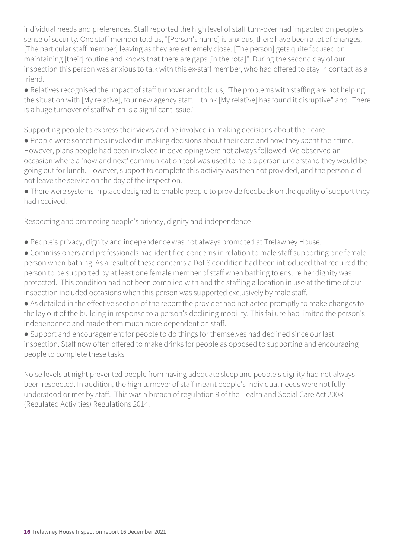individual needs and preferences. Staff reported the high level of staff turn-over had impacted on people's sense of security. One staff member told us, "[Person's name] is anxious, there have been a lot of changes, [The particular staff member] leaving as they are extremely close. [The person] gets quite focused on maintaining [their] routine and knows that there are gaps [in the rota]". During the second day of our inspection this person was anxious to talk with this ex-staff member, who had offered to stay in contact as a friend.

● Relatives recognised the impact of staff turnover and told us, "The problems with staffing are not helping the situation with [My relative], four new agency staff. I think [My relative] has found it disruptive" and "There is a huge turnover of staff which is a significant issue."

Supporting people to express their views and be involved in making decisions about their care

● People were sometimes involved in making decisions about their care and how they spent their time. However, plans people had been involved in developing were not always followed. We observed an occasion where a 'now and next' communication tool was used to help a person understand they would be going out for lunch. However, support to complete this activity was then not provided, and the person did not leave the service on the day of the inspection.

● There were systems in place designed to enable people to provide feedback on the quality of support they had received.

Respecting and promoting people's privacy, dignity and independence

- People's privacy, dignity and independence was not always promoted at Trelawney House.
- Commissioners and professionals had identified concerns in relation to male staff supporting one female person when bathing. As a result of these concerns a DoLS condition had been introduced that required the person to be supported by at least one female member of staff when bathing to ensure her dignity was protected. This condition had not been complied with and the staffing allocation in use at the time of our inspection included occasions when this person was supported exclusively by male staff.
- As detailed in the effective section of the report the provider had not acted promptly to make changes to the lay out of the building in response to a person's declining mobility. This failure had limited the person's independence and made them much more dependent on staff.
- Support and encouragement for people to do things for themselves had declined since our last inspection. Staff now often offered to make drinks for people as opposed to supporting and encouraging people to complete these tasks.

Noise levels at night prevented people from having adequate sleep and people's dignity had not always been respected. In addition, the high turnover of staff meant people's individual needs were not fully understood or met by staff. This was a breach of regulation 9 of the Health and Social Care Act 2008 (Regulated Activities) Regulations 2014.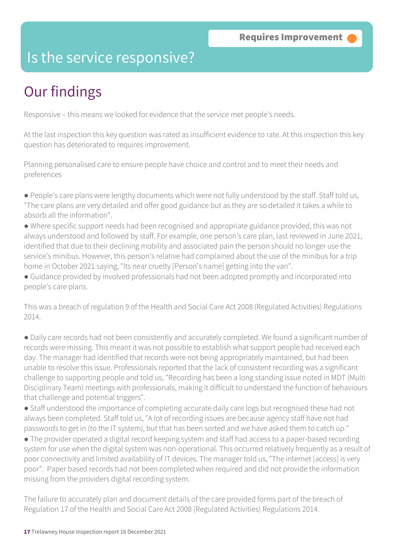### Is the service responsive?

## Our findings

Responsive – this means we looked for evidence that the service met people's needs.

At the last inspection this key question was rated as insufficient evidence to rate. At this inspection this key question has deteriorated to requires improvement.

Planning personalised care to ensure people have choice and control and to meet their needs and preferences

- People's care plans were lengthy documents which were not fully understood by the staff. Staff told us, "The care plans are very detailed and offer good guidance but as they are so detailed it takes a while to absorb all the information".
- Where specific support needs had been recognised and appropriate guidance provided, this was not always understood and followed by staff. For example, one person's care plan, last reviewed in June 2021, identified that due to their declining mobility and associated pain the person should no longer use the service's minibus. However, this person's relative had complained about the use of the minibus for a trip home in October 2021 saying, "Its near cruelty [Person's name] getting into the van".
- Guidance provided by involved professionals had not been adopted promptly and incorporated into people's care plans.

This was a breach of regulation 9 of the Health and Social Care Act 2008 (Regulated Activities) Regulations 2014.

● Daily care records had not been consistently and accurately completed. We found a significant number of records were missing. This meant it was not possible to establish what support people had received each day. The manager had identified that records were not being appropriately maintained, but had been unable to resolve this issue. Professionals reported that the lack of consistent recording was a significant challenge to supporting people and told us, "Recording has been a long standing issue noted in MDT (Multi Disciplinary Team) meetings with professionals, making it difficult to understand the function of behaviours that challenge and potential triggers".

● Staff understood the importance of completing accurate daily care logs but recognised these had not always been completed. Staff told us, "A lot of recording issues are because agency staff have not had passwords to get in (to the IT system), but that has been sorted and we have asked them to catch up."

● The provider operated a digital record keeping system and staff had access to a paper-based recording system for use when the digital system was non-operational. This occurred relatively frequently as a result of poor connectivity and limited availability of IT devices. The manager told us, "The internet [access] is very poor". Paper based records had not been completed when required and did not provide the information missing from the providers digital recording system.

The failure to accurately plan and document details of the care provided forms part of the breach of Regulation 17 of the Health and Social Care Act 2008 (Regulated Activities) Regulations 2014.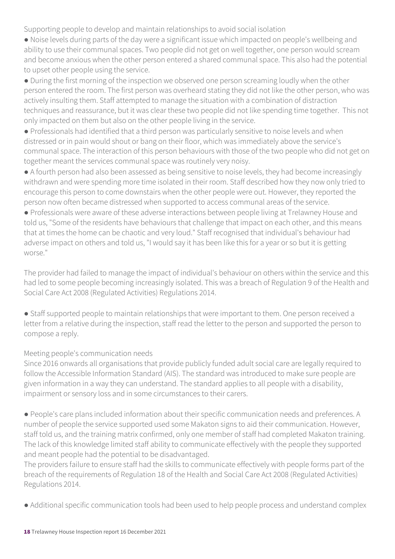Supporting people to develop and maintain relationships to avoid social isolation

● Noise levels during parts of the day were a significant issue which impacted on people's wellbeing and ability to use their communal spaces. Two people did not get on well together, one person would scream and become anxious when the other person entered a shared communal space. This also had the potential to upset other people using the service.

● During the first morning of the inspection we observed one person screaming loudly when the other person entered the room. The first person was overheard stating they did not like the other person, who was actively insulting them. Staff attempted to manage the situation with a combination of distraction techniques and reassurance, but it was clear these two people did not like spending time together. This not only impacted on them but also on the other people living in the service.

● Professionals had identified that a third person was particularly sensitive to noise levels and when distressed or in pain would shout or bang on their floor, which was immediately above the service's communal space. The interaction of this person behaviours with those of the two people who did not get on together meant the services communal space was routinely very noisy.

● A fourth person had also been assessed as being sensitive to noise levels, they had become increasingly withdrawn and were spending more time isolated in their room. Staff described how they now only tried to encourage this person to come downstairs when the other people were out. However, they reported the person now often became distressed when supported to access communal areas of the service.

● Professionals were aware of these adverse interactions between people living at Trelawney House and told us, "Some of the residents have behaviours that challenge that impact on each other, and this means that at times the home can be chaotic and very loud." Staff recognised that individual's behaviour had adverse impact on others and told us, "I would say it has been like this for a year or so but it is getting worse."

The provider had failed to manage the impact of individual's behaviour on others within the service and this had led to some people becoming increasingly isolated. This was a breach of Regulation 9 of the Health and Social Care Act 2008 (Regulated Activities) Regulations 2014.

● Staff supported people to maintain relationships that were important to them. One person received a letter from a relative during the inspection, staff read the letter to the person and supported the person to compose a reply.

#### Meeting people's communication needs

Since 2016 onwards all organisations that provide publicly funded adult social care are legally required to follow the Accessible Information Standard (AIS). The standard was introduced to make sure people are given information in a way they can understand. The standard applies to all people with a disability, impairment or sensory loss and in some circumstances to their carers.

● People's care plans included information about their specific communication needs and preferences. A number of people the service supported used some Makaton signs to aid their communication. However, staff told us, and the training matrix confirmed, only one member of staff had completed Makaton training. The lack of this knowledge limited staff ability to communicate effectively with the people they supported and meant people had the potential to be disadvantaged.

The providers failure to ensure staff had the skills to communicate effectively with people forms part of the breach of the requirements of Regulation 18 of the Health and Social Care Act 2008 (Regulated Activities) Regulations 2014.

● Additional specific communication tools had been used to help people process and understand complex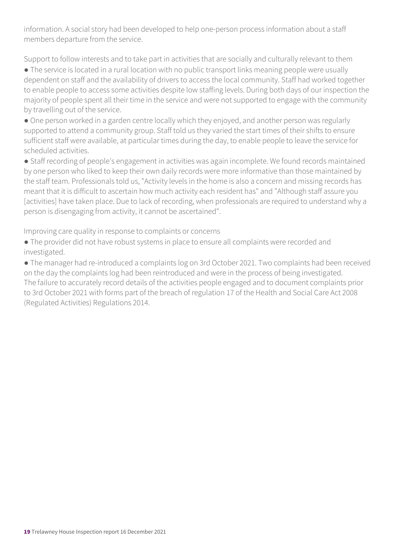information. A social story had been developed to help one-person process information about a staff members departure from the service.

Support to follow interests and to take part in activities that are socially and culturally relevant to them

● The service is located in a rural location with no public transport links meaning people were usually dependent on staff and the availability of drivers to access the local community. Staff had worked together to enable people to access some activities despite low staffing levels. During both days of our inspection the majority of people spent all their time in the service and were not supported to engage with the community by travelling out of the service.

• One person worked in a garden centre locally which they enjoyed, and another person was regularly supported to attend a community group. Staff told us they varied the start times of their shifts to ensure sufficient staff were available, at particular times during the day, to enable people to leave the service for scheduled activities.

● Staff recording of people's engagement in activities was again incomplete. We found records maintained by one person who liked to keep their own daily records were more informative than those maintained by the staff team. Professionals told us, "Activity levels in the home is also a concern and missing records has meant that it is difficult to ascertain how much activity each resident has" and "Although staff assure you [activities] have taken place. Due to lack of recording, when professionals are required to understand why a person is disengaging from activity, it cannot be ascertained".

Improving care quality in response to complaints or concerns

● The provider did not have robust systems in place to ensure all complaints were recorded and investigated.

● The manager had re-introduced a complaints log on 3rd October 2021. Two complaints had been received on the day the complaints log had been reintroduced and were in the process of being investigated. The failure to accurately record details of the activities people engaged and to document complaints prior to 3rd October 2021 with forms part of the breach of regulation 17 of the Health and Social Care Act 2008 (Regulated Activities) Regulations 2014.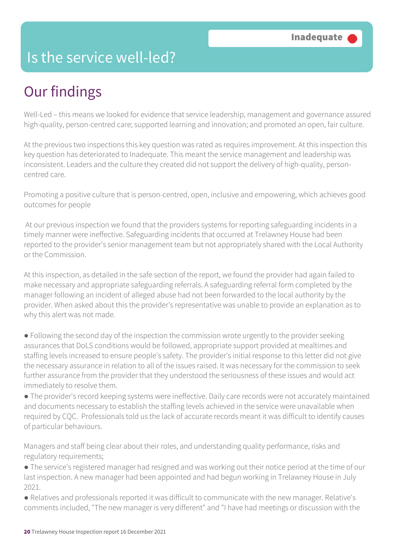### Is the service well-led?

## Our findings

Well-Led – this means we looked for evidence that service leadership, management and governance assured high-quality, person-centred care; supported learning and innovation; and promoted an open, fair culture.

At the previous two inspections this key question was rated as requires improvement. At this inspection this key question has deteriorated to Inadequate. This meant the service management and leadership was inconsistent. Leaders and the culture they created did not support the delivery of high-quality, personcentred care.

Promoting a positive culture that is person-centred, open, inclusive and empowering, which achieves good outcomes for people

 At our previous inspection we found that the providers systems for reporting safeguarding incidents in a timely manner were ineffective. Safeguarding incidents that occurred at Trelawney House had been reported to the provider's senior management team but not appropriately shared with the Local Authority or the Commission.

At this inspection, as detailed in the safe section of the report, we found the provider had again failed to make necessary and appropriate safeguarding referrals. A safeguarding referral form completed by the manager following an incident of alleged abuse had not been forwarded to the local authority by the provider. When asked about this the provider's representative was unable to provide an explanation as to why this alert was not made.

● Following the second day of the inspection the commission wrote urgently to the provider seeking assurances that DoLS conditions would be followed, appropriate support provided at mealtimes and staffing levels increased to ensure people's safety. The provider's initial response to this letter did not give the necessary assurance in relation to all of the issues raised. It was necessary for the commission to seek further assurance from the provider that they understood the seriousness of these issues and would act immediately to resolve them.

● The provider's record keeping systems were ineffective. Daily care records were not accurately maintained and documents necessary to establish the staffing levels achieved in the service were unavailable when required by CQC. Professionals told us the lack of accurate records meant it was difficult to identify causes of particular behaviours.

Managers and staff being clear about their roles, and understanding quality performance, risks and regulatory requirements;

● The service's registered manager had resigned and was working out their notice period at the time of our last inspection. A new manager had been appointed and had begun working in Trelawney House in July 2021.

● Relatives and professionals reported it was difficult to communicate with the new manager. Relative's comments included, "The new manager is very different" and "I have had meetings or discussion with the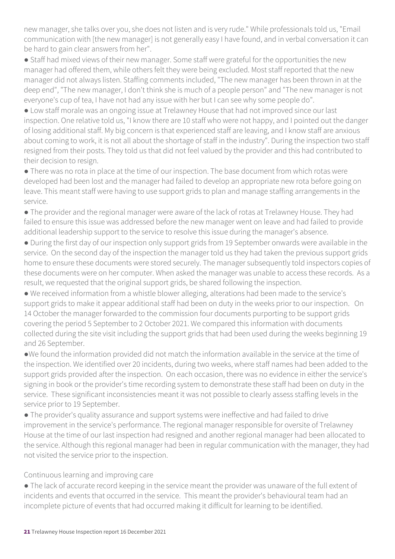new manager, she talks over you, she does not listen and is very rude." While professionals told us, "Email communication with [the new manager] is not generally easy I have found, and in verbal conversation it can be hard to gain clear answers from her".

● Staff had mixed views of their new manager. Some staff were grateful for the opportunities the new manager had offered them, while others felt they were being excluded. Most staff reported that the new manager did not always listen. Staffing comments included, "The new manager has been thrown in at the deep end", "The new manager, I don't think she is much of a people person" and "The new manager is not everyone's cup of tea, I have not had any issue with her but I can see why some people do".

● Low staff morale was an ongoing issue at Trelawney House that had not improved since our last inspection. One relative told us, "I know there are 10 staff who were not happy, and I pointed out the danger of losing additional staff. My big concern is that experienced staff are leaving, and I know staff are anxious about coming to work, it is not all about the shortage of staff in the industry". During the inspection two staff resigned from their posts. They told us that did not feel valued by the provider and this had contributed to their decision to resign.

● There was no rota in place at the time of our inspection. The base document from which rotas were developed had been lost and the manager had failed to develop an appropriate new rota before going on leave. This meant staff were having to use support grids to plan and manage staffing arrangements in the service.

● The provider and the regional manager were aware of the lack of rotas at Trelawney House. They had failed to ensure this issue was addressed before the new manager went on leave and had failed to provide additional leadership support to the service to resolve this issue during the manager's absence.

● During the first day of our inspection only support grids from 19 September onwards were available in the service. On the second day of the inspection the manager told us they had taken the previous support grids home to ensure these documents were stored securely. The manager subsequently told inspectors copies of these documents were on her computer. When asked the manager was unable to access these records. As a result, we requested that the original support grids, be shared following the inspection.

● We received information from a whistle blower alleging, alterations had been made to the service's support grids to make it appear additional staff had been on duty in the weeks prior to our inspection. On 14 October the manager forwarded to the commission four documents purporting to be support grids covering the period 5 September to 2 October 2021. We compared this information with documents collected during the site visit including the support grids that had been used during the weeks beginning 19 and 26 September.

●We found the information provided did not match the information available in the service at the time of the inspection. We identified over 20 incidents, during two weeks, where staff names had been added to the support grids provided after the inspection. On each occasion, there was no evidence in either the service's signing in book or the provider's time recording system to demonstrate these staff had been on duty in the service. These significant inconsistencies meant it was not possible to clearly assess staffing levels in the service prior to 19 September.

● The provider's quality assurance and support systems were ineffective and had failed to drive improvement in the service's performance. The regional manager responsible for oversite of Trelawney House at the time of our last inspection had resigned and another regional manager had been allocated to the service. Although this regional manager had been in regular communication with the manager, they had not visited the service prior to the inspection.

Continuous learning and improving care

● The lack of accurate record keeping in the service meant the provider was unaware of the full extent of incidents and events that occurred in the service. This meant the provider's behavioural team had an incomplete picture of events that had occurred making it difficult for learning to be identified.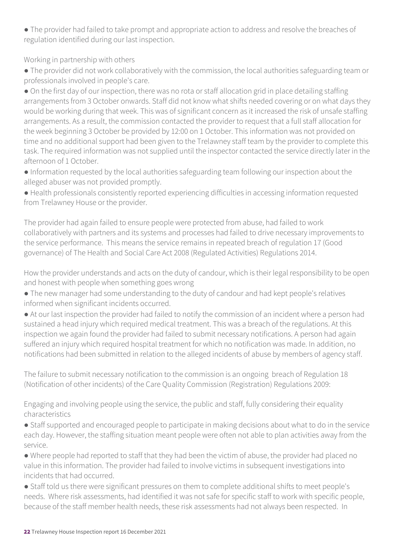● The provider had failed to take prompt and appropriate action to address and resolve the breaches of regulation identified during our last inspection.

Working in partnership with others

● The provider did not work collaboratively with the commission, the local authorities safeguarding team or professionals involved in people's care.

● On the first day of our inspection, there was no rota or staff allocation grid in place detailing staffing arrangements from 3 October onwards. Staff did not know what shifts needed covering or on what days they would be working during that week. This was of significant concern as it increased the risk of unsafe staffing arrangements. As a result, the commission contacted the provider to request that a full staff allocation for the week beginning 3 October be provided by 12:00 on 1 October. This information was not provided on time and no additional support had been given to the Trelawney staff team by the provider to complete this task. The required information was not supplied until the inspector contacted the service directly later in the afternoon of 1 October.

● Information requested by the local authorities safeguarding team following our inspection about the alleged abuser was not provided promptly.

● Health professionals consistently reported experiencing difficulties in accessing information requested from Trelawney House or the provider.

The provider had again failed to ensure people were protected from abuse, had failed to work collaboratively with partners and its systems and processes had failed to drive necessary improvements to the service performance. This means the service remains in repeated breach of regulation 17 (Good governance) of The Health and Social Care Act 2008 (Regulated Activities) Regulations 2014.

How the provider understands and acts on the duty of candour, which is their legal responsibility to be open and honest with people when something goes wrong

● The new manager had some understanding to the duty of candour and had kept people's relatives informed when significant incidents occurred.

● At our last inspection the provider had failed to notify the commission of an incident where a person had sustained a head injury which required medical treatment. This was a breach of the regulations. At this inspection we again found the provider had failed to submit necessary notifications. A person had again suffered an injury which required hospital treatment for which no notification was made. In addition, no notifications had been submitted in relation to the alleged incidents of abuse by members of agency staff.

The failure to submit necessary notification to the commission is an ongoing breach of Regulation 18 (Notification of other incidents) of the Care Quality Commission (Registration) Regulations 2009:

Engaging and involving people using the service, the public and staff, fully considering their equality characteristics

● Staff supported and encouraged people to participate in making decisions about what to do in the service each day. However, the staffing situation meant people were often not able to plan activities away from the service.

● Where people had reported to staff that they had been the victim of abuse, the provider had placed no value in this information. The provider had failed to involve victims in subsequent investigations into incidents that had occurred.

● Staff told us there were significant pressures on them to complete additional shifts to meet people's needs. Where risk assessments, had identified it was not safe for specific staff to work with specific people, because of the staff member health needs, these risk assessments had not always been respected. In